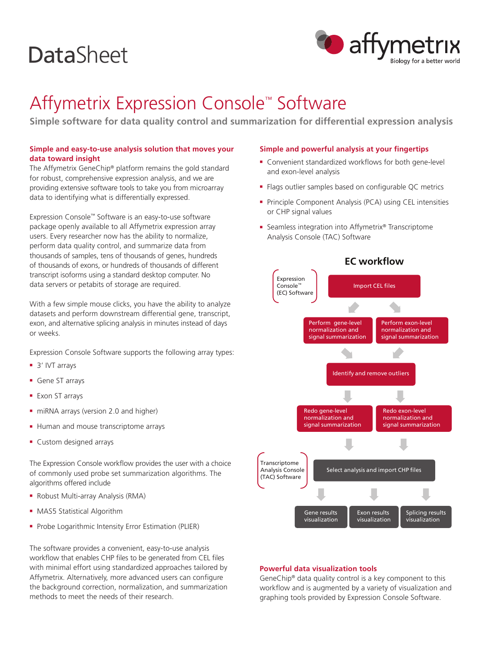# **DataSheet**



# Affymetrix Expression Console™ Software

**Simple software for data quality control and summarization for differential expression analysis** 

# **Simple and easy-to-use analysis solution that moves your data toward insight**

The Affymetrix GeneChip® platform remains the gold standard for robust, comprehensive expression analysis, and we are providing extensive software tools to take you from microarray data to identifying what is differentially expressed.

Expression Console™ Software is an easy-to-use software package openly available to all Affymetrix expression array users. Every researcher now has the ability to normalize, perform data quality control, and summarize data from thousands of samples, tens of thousands of genes, hundreds of thousands of exons, or hundreds of thousands of different transcript isoforms using a standard desktop computer. No data servers or petabits of storage are required.

With a few simple mouse clicks, you have the ability to analyze datasets and perform downstream differential gene, transcript, exon, and alternative splicing analysis in minutes instead of days or weeks.

Expression Console Software supports the following array types:

- 3' IVT arrays
- **Gene ST arrays**
- Exon ST arrays
- niRNA arrays (version 2.0 and higher)
- Human and mouse transcriptome arrays
- **Custom designed arrays**

The Expression Console workflow provides the user with a choice of commonly used probe set summarization algorithms. The algorithms offered include

- Robust Multi-array Analysis (RMA)
- MAS5 Statistical Algorithm
- Probe Logarithmic Intensity Error Estimation (PLIER)

The software provides a convenient, easy-to-use analysis workflow that enables CHP files to be generated from CEL files with minimal effort using standardized approaches tailored by Affymetrix. Alternatively, more advanced users can configure the background correction, normalization, and summarization methods to meet the needs of their research.

### **Simple and powerful analysis at your fingertips**

- Convenient standardized workflows for both gene-level and exon-level analysis
- Flags outlier samples based on configurable QC metrics
- Principle Component Analysis (PCA) using CEL intensities or CHP signal values
- Seamless integration into Affymetrix® Transcriptome Analysis Console (TAC) Software



#### **Powerful data visualization tools**

GeneChip® data quality control is a key component to this workflow and is augmented by a variety of visualization and graphing tools provided by Expression Console Software.